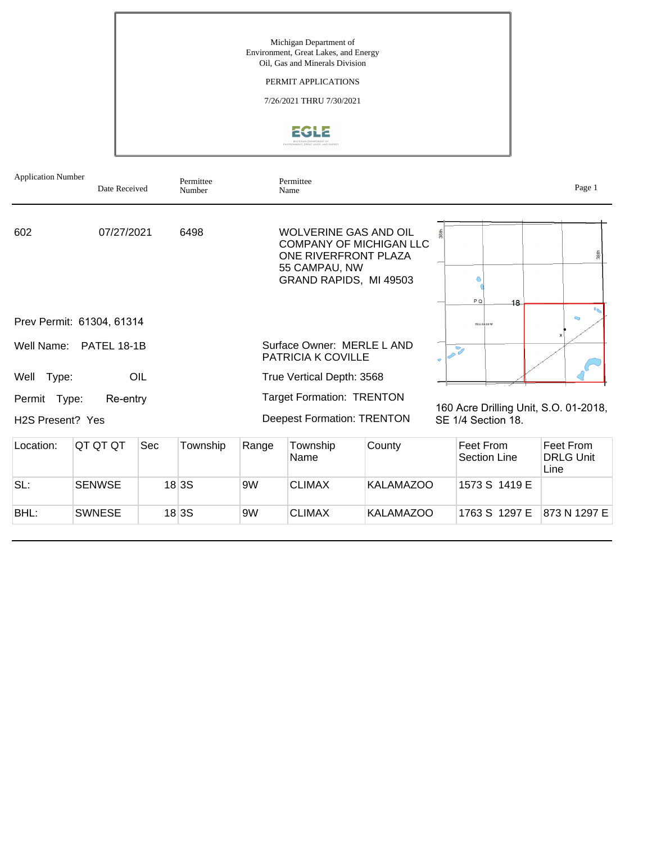

# PERMIT APPLICATIONS

7/26/2021 THRU 7/30/2021



| <b>Application Number</b>                     | Date Received             |     | Permittee<br>Number |                                                                                                                                      | Permittee<br>Name                                                                                                          |                  |                                  | Page 1                                |
|-----------------------------------------------|---------------------------|-----|---------------------|--------------------------------------------------------------------------------------------------------------------------------------|----------------------------------------------------------------------------------------------------------------------------|------------------|----------------------------------|---------------------------------------|
| 602                                           | 07/27/2021                |     | 6498                |                                                                                                                                      | WOLVERINE GAS AND OIL<br><b>COMPANY OF MICHIGAN LLC</b><br>ONE RIVERFRONT PLAZA<br>55 CAMPAU, NW<br>GRAND RAPIDS, MI 49503 |                  | P <sub>Q</sub><br>18             | 38th                                  |
|                                               | Prev Permit: 61304, 61314 |     |                     |                                                                                                                                      |                                                                                                                            |                  | TO 3 SROP W                      |                                       |
| Well Name:                                    | <b>PATEL 18-1B</b>        |     |                     |                                                                                                                                      | Surface Owner: MERLE L AND<br><b>PATRICIA K COVILLE</b>                                                                    | ò.               | 7                                |                                       |
| Type:<br>Well                                 |                           | OIL |                     |                                                                                                                                      | True Vertical Depth: 3568                                                                                                  |                  |                                  |                                       |
| Permit Type:<br>H <sub>2</sub> S Present? Yes | Re-entry                  |     |                     | <b>Target Formation: TRENTON</b><br>160 Acre Drilling Unit, S.O. 01-2018,<br><b>Deepest Formation: TRENTON</b><br>SE 1/4 Section 18. |                                                                                                                            |                  |                                  |                                       |
| Location:                                     | QT QT QT                  | Sec | Township            | Range                                                                                                                                | Township<br>Name                                                                                                           | County           | Feet From<br><b>Section Line</b> | Feet From<br><b>DRLG Unit</b><br>Line |
| SL:                                           | <b>SENWSE</b>             |     | 18 <sub>3</sub> S   | 9 <sub>W</sub>                                                                                                                       | <b>CLIMAX</b>                                                                                                              | <b>KALAMAZOO</b> | 1573 S 1419 E                    |                                       |

BHL: SWNESE 18 3S 9W CLIMAX KALAMAZOO 1763 S 1297 E 873 N 1297 E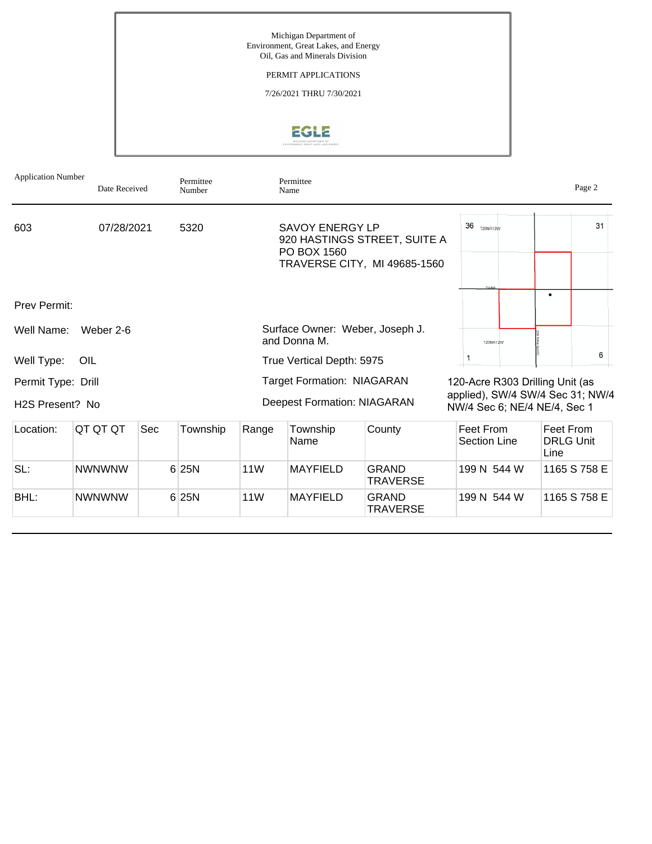

| <b>Application Number</b>             | Date Received |     | Permittee<br>Number |                 | Permittee<br>Name                                                       |                                                              |                                                                                                     | Page 2                                |
|---------------------------------------|---------------|-----|---------------------|-----------------|-------------------------------------------------------------------------|--------------------------------------------------------------|-----------------------------------------------------------------------------------------------------|---------------------------------------|
| 603                                   | 07/28/2021    |     | 5320                |                 | <b>SAVOY ENERGY LP</b><br>PO BOX 1560                                   | 920 HASTINGS STREET, SUITE A<br>TRAVERSE CITY, MI 49685-1560 | 36<br>T26NR12W<br><b>Youke</b>                                                                      | 31                                    |
| Prev Permit:                          |               |     |                     |                 |                                                                         |                                                              |                                                                                                     | $\bullet$                             |
| Well Name:                            | Weber 2-6     |     |                     |                 | and Donna M.                                                            | Surface Owner: Weber, Joseph J.                              | <b>T25NR12W</b>                                                                                     |                                       |
| Well Type:                            | OIL           |     |                     |                 | True Vertical Depth: 5975                                               |                                                              |                                                                                                     | 6                                     |
| Permit Type: Drill<br>H2S Present? No |               |     |                     |                 | <b>Target Formation: NIAGARAN</b><br><b>Deepest Formation: NIAGARAN</b> |                                                              | 120-Acre R303 Drilling Unit (as<br>applied), SW/4 SW/4 Sec 31; NW/4<br>NW/4 Sec 6; NE/4 NE/4, Sec 1 |                                       |
| Location:                             | QT QT QT      | Sec | Township            | Range           | Township<br>Name                                                        | County                                                       | Feet From<br><b>Section Line</b>                                                                    | Feet From<br><b>DRLG Unit</b><br>Line |
| SL:                                   | <b>NWNWNW</b> |     | 6 25N               | 11 <sub>W</sub> | <b>MAYFIELD</b>                                                         | <b>GRAND</b><br><b>TRAVERSE</b>                              | 199 N 544 W                                                                                         | 1165 S 758 E                          |

**TRAVERSE** 

199 N 544 W 1165 S 758 E

BHL: NWNWNW 6 25N 11W MAYFIELD GRAND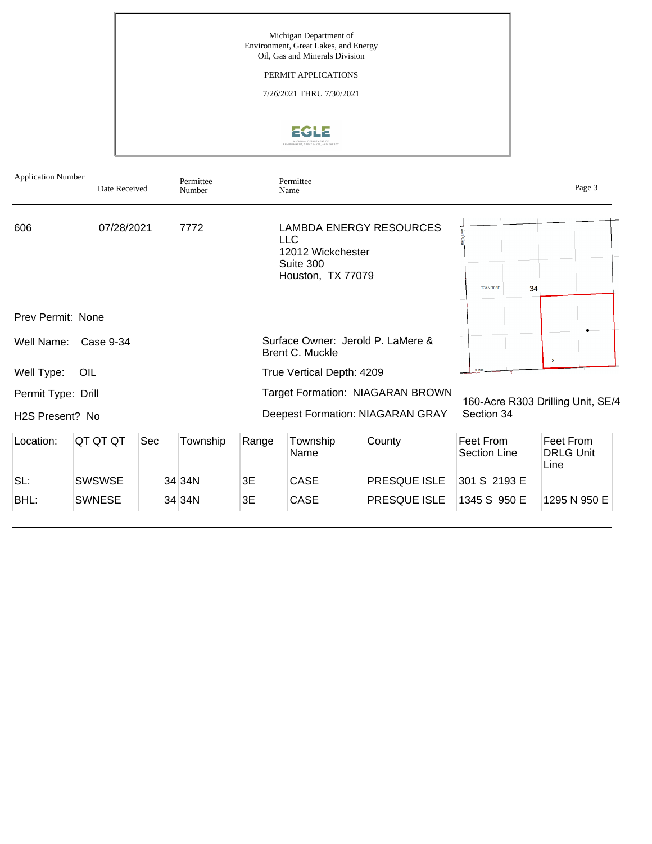Michigan Department of Environment, Great Lakes, and Energy Oil, Gas and Minerals Division

PERMIT APPLICATIONS

7/26/2021 THRU 7/30/2021

# EGLE

|                                       | <b>Application Number</b><br>Permittee<br>Date Received<br>Number |     |          |       | Permittee<br>Name                                           |                                                                                    |                                  |                                       |  |  |
|---------------------------------------|-------------------------------------------------------------------|-----|----------|-------|-------------------------------------------------------------|------------------------------------------------------------------------------------|----------------------------------|---------------------------------------|--|--|
| 606                                   | 07/28/2021                                                        |     | 7772     |       | LLC.<br>12012 Wickchester<br>Suite 300<br>Houston, TX 77079 | <b>LAMBDA ENERGY RESOURCES</b>                                                     | <b>T34NR03E</b>                  | 34                                    |  |  |
| Prev Permit: None                     |                                                                   |     |          |       |                                                             |                                                                                    |                                  |                                       |  |  |
| Well Name:                            | Case 9-34                                                         |     |          |       | Brent C. Muckle                                             | Surface Owner: Jerold P. LaMere &                                                  |                                  | $\mathbf x$                           |  |  |
| Well Type:                            | OIL                                                               |     |          |       | True Vertical Depth: 4209                                   |                                                                                    |                                  |                                       |  |  |
| Permit Type: Drill<br>H2S Present? No |                                                                   |     |          |       |                                                             | <b>Target Formation: NIAGARAN BROWN</b><br><b>Deepest Formation: NIAGARAN GRAY</b> | Section 34                       | 160-Acre R303 Drilling Unit, SE/4     |  |  |
| Location:                             | QT QT QT                                                          | Sec | Township | Range | Township<br>Name                                            | County                                                                             | Feet From<br><b>Section Line</b> | Feet From<br><b>DRLG Unit</b><br>Line |  |  |
| SL:                                   | <b>SWSWSE</b>                                                     |     | 34 34N   | 3E    | CASE                                                        | PRESQUE ISLE                                                                       | 301 S 2193 E                     |                                       |  |  |
| BHL:                                  | <b>SWNESE</b>                                                     |     | 34 34 N  | 3E    | <b>CASE</b>                                                 | PRESQUE ISLE                                                                       | 1345 S 950 E                     | 1295 N 950 E                          |  |  |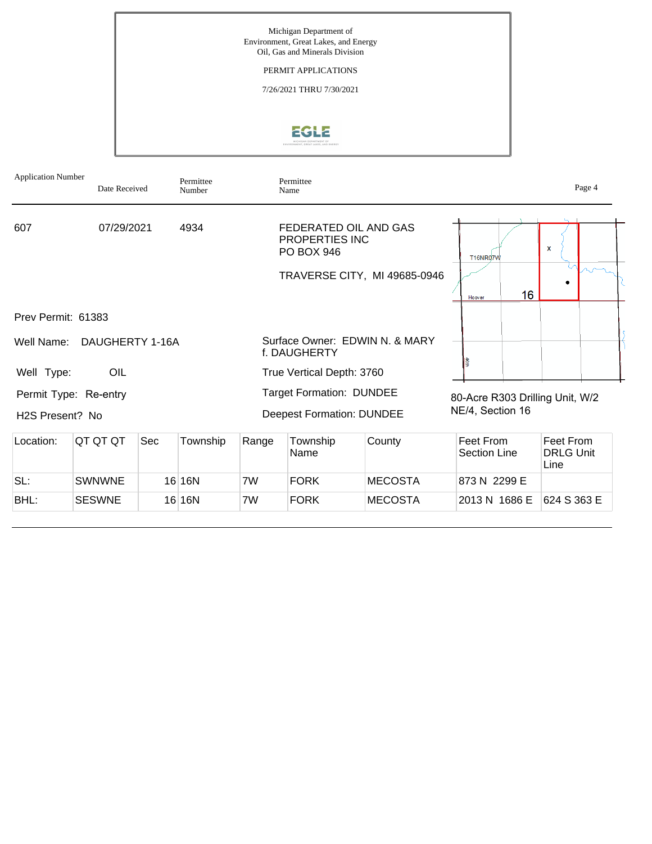

| <b>Application Number</b>                | Date Received   |     | Permittee<br>Number |       | Permittee<br>Name                                                   |                                |                                                     |    |                                       | Page 4 |
|------------------------------------------|-----------------|-----|---------------------|-------|---------------------------------------------------------------------|--------------------------------|-----------------------------------------------------|----|---------------------------------------|--------|
| 607                                      | 07/29/2021      |     | 4934                |       | FEDERATED OIL AND GAS<br><b>PROPERTIES INC</b><br>PO BOX 946        |                                | T16NR07W                                            |    | X                                     |        |
|                                          |                 |     |                     |       |                                                                     | TRAVERSE CITY, MI 49685-0946   | Hoover                                              | 16 |                                       |        |
| Prev Permit: 61383                       |                 |     |                     |       |                                                                     |                                |                                                     |    |                                       |        |
| Well Name:                               | DAUGHERTY 1-16A |     |                     |       | f. DAUGHERTY                                                        | Surface Owner: EDWIN N. & MARY |                                                     |    |                                       |        |
| Well Type:                               | OIL             |     |                     |       | True Vertical Depth: 3760                                           |                                |                                                     |    |                                       |        |
| Permit Type: Re-entry<br>H2S Present? No |                 |     |                     |       | <b>Target Formation: DUNDEE</b><br><b>Deepest Formation: DUNDEE</b> |                                | 80-Acre R303 Drilling Unit, W/2<br>NE/4, Section 16 |    |                                       |        |
| Location:                                | QT QT QT        | Sec | Township            | Range | Township<br>Name                                                    | County                         | Feet From<br>Section Line                           |    | Feet From<br><b>DRLG Unit</b><br>Line |        |
| SL:                                      | <b>SWNWNE</b>   |     | 16 16N              | 7W    | <b>FORK</b>                                                         | <b>MECOSTA</b>                 | 873 N 2299 E                                        |    |                                       |        |
| BHL:                                     | <b>SESWNE</b>   |     | 16 16N              | 7W    | <b>FORK</b>                                                         | <b>MECOSTA</b>                 | 2013 N 1686 E                                       |    | 624 S 363 E                           |        |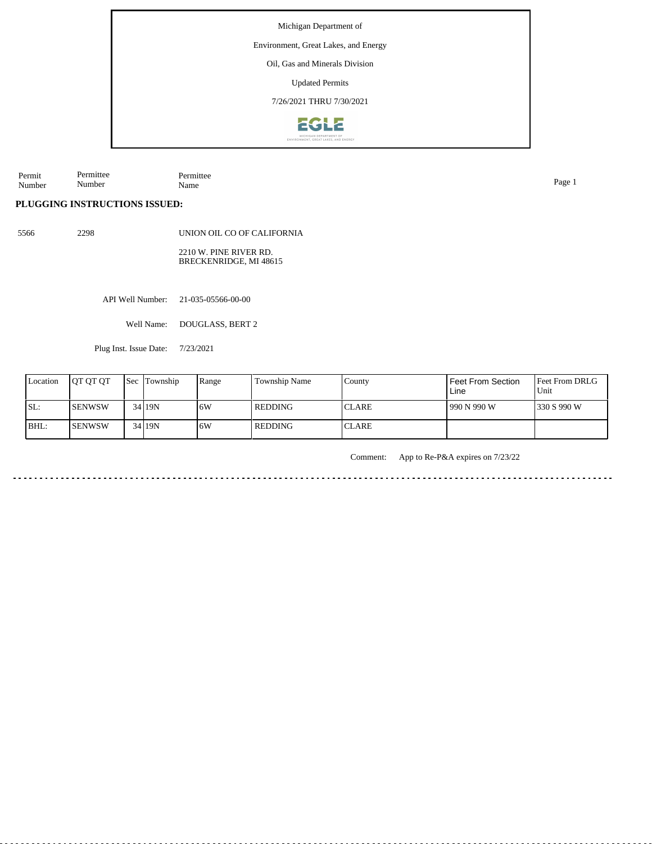Environment, Great Lakes, and Energy

Oil, Gas and Minerals Division

Updated Permits

7/26/2021 THRU 7/30/2021



Permit Number Permittee Number Permittee Name Page 1

**PLUGGING INSTRUCTIONS ISSUED:**

5566 2298

UNION OIL CO OF CALIFORNIA 2210 W. PINE RIVER RD. BRECKENRIDGE, MI 48615

API Well Number: 21-035-05566-00-00

Well Name: DOUGLASS, BERT 2

Plug Inst. Issue Date: 7/23/2021

| Location | <b>IOT OT OT</b> | <b>Sec Township</b> | Range | Township Name  | County        | Feet From Section<br>Line | <b>Feet From DRLG</b><br>Unit |
|----------|------------------|---------------------|-------|----------------|---------------|---------------------------|-------------------------------|
| SL:      | <b>I</b> SENWSW  | 34 19N              | ۱6W   | <b>REDDING</b> | <b>ICLARE</b> | 990 N 990 W               | 1330 S 990 W                  |
| BHL:     | <b>ISENWSW</b>   | 34 19N              | ا 6W  | l REDDING      | <b>ICLARE</b> |                           |                               |

Comment: App to Re-P&A expires on 7/23/22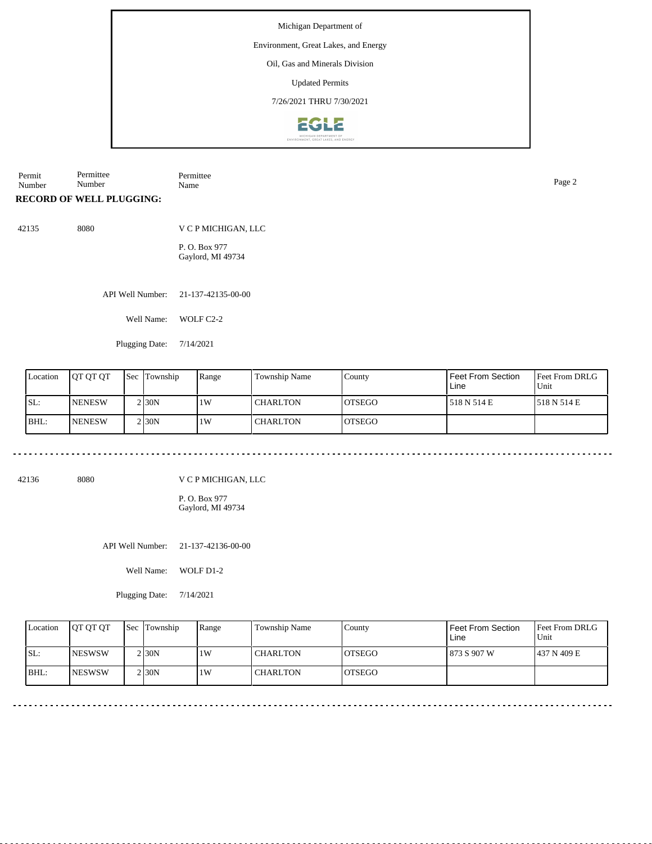#### Environment, Great Lakes, and Energy

Oil, Gas and Minerals Division

Updated Permits

7/26/2021 THRU 7/30/2021



Permit Number Permittee Number Permittee Name Page 2

**RECORD OF WELL PLUGGING:**

42135 8080

V C P MICHIGAN, LLC P. O. Box 977 Gaylord, MI 49734

API Well Number: 21-137-42135-00-00

Well Name: WOLF C2-2

Plugging Date: 7/14/2021

| Location | IOT OT OT     | <b>Sec Township</b> | Range | Township Name   | County         | l Feet From Section<br>Line | Feet From DRLG<br>Unit |
|----------|---------------|---------------------|-------|-----------------|----------------|-----------------------------|------------------------|
| ISL:     | <b>NENESW</b> | 2130N               | 1W    | <b>CHARLTON</b> | IOTSEGO        | 1518 N 514 E                | 1518 N 514 E           |
| BHL:     | <b>NENESW</b> | 2130N               | 1W    | <b>CHARLTON</b> | <b>IOTSEGO</b> |                             |                        |

42136 8080

V C P MICHIGAN, LLC

P. O. Box 977 Gaylord, MI 49734

API Well Number: 21-137-42136-00-00

Well Name: WOLF D1-2

Plugging Date: 7/14/2021

| Location | <b>IOT OT OT</b> | <b>Sec Township</b> | Range | Township Name   | County         | Feet From Section<br>Line | <b>Feet From DRLG</b><br>Unit |
|----------|------------------|---------------------|-------|-----------------|----------------|---------------------------|-------------------------------|
| SL:      | <b>INESWSW</b>   | $2$ <sub>30</sub> N | 1W    | <b>CHARLTON</b> | <b>IOTSEGO</b> | 873 S 907 W               | 1437 N 409 E                  |
| BHL:     | <b>INESWSW</b>   | $2$ <sub>30</sub> N | 1W    | <b>CHARLTON</b> | <b>IOTSEGO</b> |                           |                               |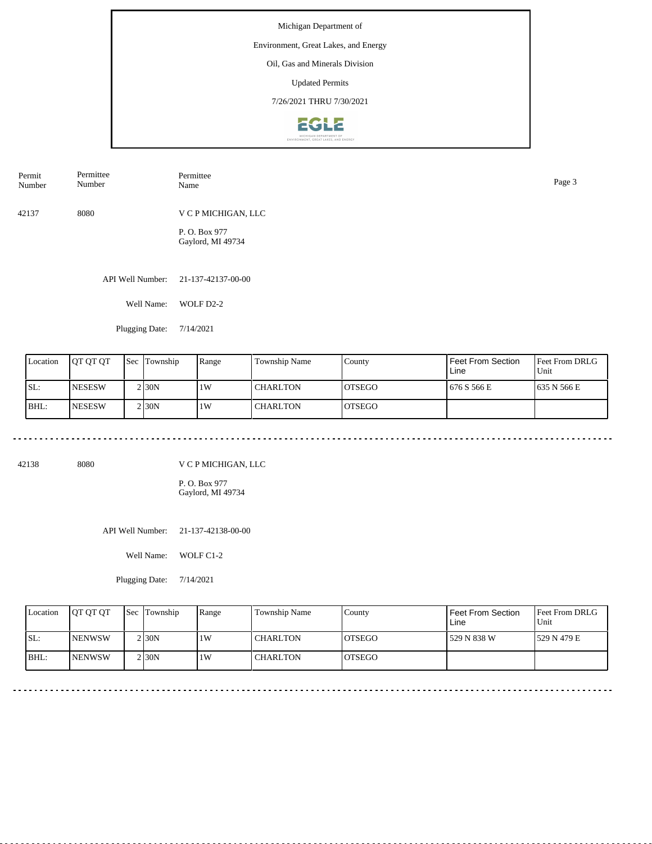#### Environment, Great Lakes, and Energy

Oil, Gas and Minerals Division

Updated Permits

7/26/2021 THRU 7/30/2021



| Permit<br>Number | Permittee<br>Number | Permittee<br>Name                  | Page 3 |
|------------------|---------------------|------------------------------------|--------|
| 42137            | 8080                | V C P MICHIGAN, LLC                |        |
|                  |                     | P. O. Box 977<br>Gaylord, MI 49734 |        |
|                  | API Well Number:    | 21-137-42137-00-00                 |        |

Well Name: WOLF D2-2

Plugging Date: 7/14/2021

| Location | <b>JOT OT OT</b> | <b>Sec</b> | Township           | Range | Township Name   | County         | l Feet From Section<br>Line | <b>Feet From DRLG</b><br>Unit |
|----------|------------------|------------|--------------------|-------|-----------------|----------------|-----------------------------|-------------------------------|
| SL:      | <b>NESESW</b>    |            | 2130N              | 1W    | <b>CHARLTON</b> | <b>IOTSEGO</b> | 676 S 566 E                 | 1635 N 566 E                  |
| BHL:     | <b>INESESW</b>   |            | 2 <sub>130</sub> N | 1W    | <b>CHARLTON</b> | <b>IOTSEGO</b> |                             |                               |

42138 8080

V C P MICHIGAN, LLC

P. O. Box 977 Gaylord, MI 49734

API Well Number: 21-137-42138-00-00

Well Name: WOLF C1-2

Plugging Date: 7/14/2021

|      | Location | <b>OT OT OT</b> | <b>Sec</b> Township | Range | Township Name   | County         | Feet From Section<br>Line | <b>Feet From DRLG</b><br>Unit |
|------|----------|-----------------|---------------------|-------|-----------------|----------------|---------------------------|-------------------------------|
| SL:  |          | <b>INENWSW</b>  | 2 30N               | 1W    | <b>CHARLTON</b> | <b>IOTSEGO</b> | 529 N 838 W               | 1529 N 479 E                  |
| BHL: |          | <b>INENWSW</b>  | 2 30N               | 1W    | <b>CHARLTON</b> | <b>OTSEGO</b>  |                           |                               |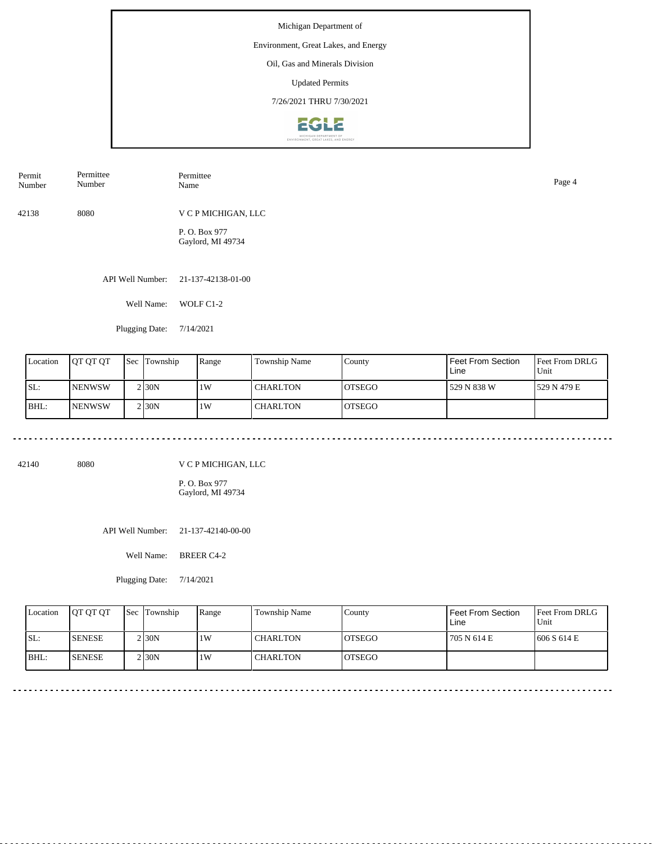## Environment, Great Lakes, and Energy

Oil, Gas and Minerals Division

Updated Permits

7/26/2021 THRU 7/30/2021



| Permit<br>Number | Permittee<br>Number | Permittee<br>Name                 | Page 4 |
|------------------|---------------------|-----------------------------------|--------|
| 42138            | 8080                | V C P MICHIGAN, LLC               |        |
|                  |                     | P.O. Box 977<br>Gaylord, MI 49734 |        |

API Well Number: 21-137-42138-01-00

Well Name: WOLF C1-2

Plugging Date: 7/14/2021

| Location | <b>OT QT QT</b> | 'Sec | Township            | Range | Township Name   | County         | Feet From Section<br>Line | Feet From DRLG<br>'Unit |
|----------|-----------------|------|---------------------|-------|-----------------|----------------|---------------------------|-------------------------|
| ISL:     | <b>INENWSW</b>  |      | $2$ <sub>30</sub> N | 1W    | <b>CHARLTON</b> | IOTSEGO        | 529 N 838 W               | 1529 N 479 E            |
| BHL:     | <b>INENWSW</b>  |      | 2 <sub>130</sub> N  | 1W    | <b>CHARLTON</b> | <b>IOTSEGO</b> |                           |                         |

42140 8080

V C P MICHIGAN, LLC

P. O. Box 977 Gaylord, MI 49734

API Well Number: 21-137-42140-00-00

Well Name: BREER C4-2

Plugging Date: 7/14/2021

| Location | <b>OT OT OT</b> | <b>Sec</b> Township | Range | Township Name   | County         | Feet From Section<br>Line | <b>Feet From DRLG</b><br>Unit |
|----------|-----------------|---------------------|-------|-----------------|----------------|---------------------------|-------------------------------|
| ISL:     | <b>SENESE</b>   | 2 30N               | 1W    | <b>CHARLTON</b> | <b>IOTSEGO</b> | 705 N 614 E               | 1606 S 614 E                  |
| BHL:     | <b>SENESE</b>   | 2 30N               | 1 W   | <b>CHARLTON</b> | <b>OTSEGO</b>  |                           |                               |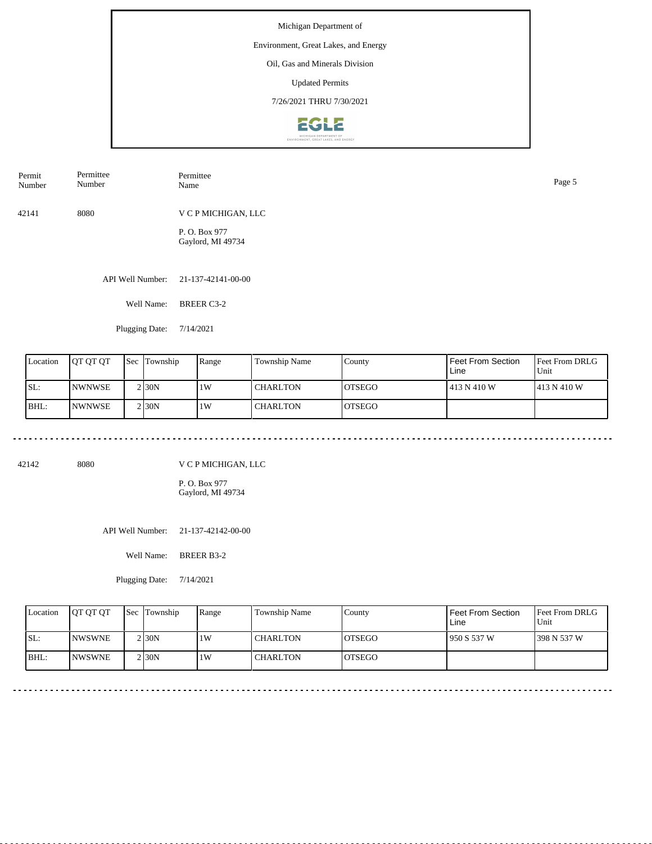## Environment, Great Lakes, and Energy

Oil, Gas and Minerals Division

Updated Permits

7/26/2021 THRU 7/30/2021



| Permit<br>Number | Permittee<br>Number | Permittee<br>Name                 | Page 5 |
|------------------|---------------------|-----------------------------------|--------|
| 42141            | 8080                | V C P MICHIGAN, LLC               |        |
|                  |                     | P.O. Box 977<br>Gaylord, MI 49734 |        |

API Well Number: 21-137-42141-00-00

Well Name: BREER C3-2

Plugging Date: 7/14/2021

| Location | <b>JOT OT OT</b> | 'Sec | Township           | Range | <b>Township Name</b> | County         | Feet From Section<br>Line | <b>IFeet From DRLG</b><br>Unit |
|----------|------------------|------|--------------------|-------|----------------------|----------------|---------------------------|--------------------------------|
| SL:      | <b>INWNWSE</b>   |      | 2 <sub>130</sub> N | 1W    | <b>CHARLTON</b>      | <b>IOTSEGO</b> | 1413 N 410 W              | 1413 N 410 W                   |
| BHL:     | <b>INWNWSE</b>   |      | 2 <sub>130</sub> N | 1W    | <b>CHARLTON</b>      | <b>IOTSEGO</b> |                           |                                |

42142 8080

V C P MICHIGAN, LLC

P. O. Box 977 Gaylord, MI 49734

API Well Number: 21-137-42142-00-00

Well Name: BREER B3-2

Plugging Date: 7/14/2021

| Location | <b>OT OT OT</b> | <b>Sec Township</b> | Range | Township Name   | County         | Feet From Section<br>Line | <b>Feet From DRLG</b><br>Unit |
|----------|-----------------|---------------------|-------|-----------------|----------------|---------------------------|-------------------------------|
| ISL:     | <b>INWSWNE</b>  | 2 I 30 N            | 1 W   | <b>CHARLTON</b> | <b>IOTSEGO</b> | 950 S 537 W               | 1398 N 537 W                  |
| BHL:     | <b>INWSWNE</b>  | 2 <sub>30</sub> N   | 1 W   | <b>CHARLTON</b> | IOTSEGO        |                           |                               |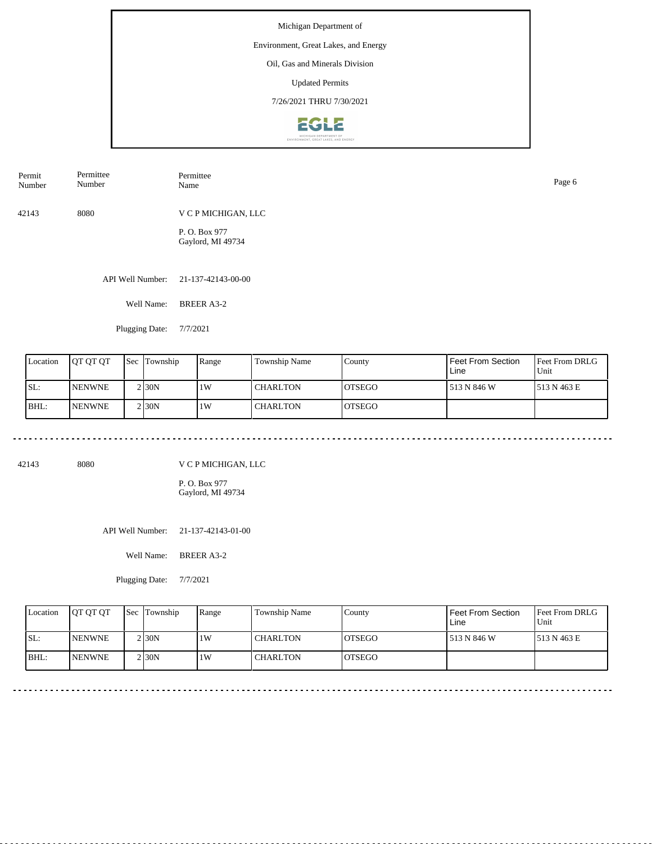## Environment, Great Lakes, and Energy

Oil, Gas and Minerals Division

Updated Permits

7/26/2021 THRU 7/30/2021



| Permit<br>Number | Permittee<br>Number | Permittee<br>Name                 | Page 6 |
|------------------|---------------------|-----------------------------------|--------|
| 42143            | 8080                | V C P MICHIGAN, LLC               |        |
|                  |                     | P.O. Box 977<br>Gaylord, MI 49734 |        |

API Well Number: 21-137-42143-00-00

Well Name: BREER A3-2

Plugging Date: 7/7/2021

| Location | <b>JOT OT OT</b> | 'Sec | Township           | Range | <b>Township Name</b> | County         | Feet From Section<br>Line | <b>Feet From DRLG</b><br>Unit |
|----------|------------------|------|--------------------|-------|----------------------|----------------|---------------------------|-------------------------------|
| SL:      | <b>INENWNE</b>   |      | 2130N              | 1W    | <b>CHARLTON</b>      | <b>IOTSEGO</b> | 513 N 846 W               | 1513 N 463 E                  |
| BHL:     | <b>INENWNE</b>   |      | 2 <sub>130</sub> N | 1W    | <b>CHARLTON</b>      | <b>IOTSEGO</b> |                           |                               |

42143 8080

V C P MICHIGAN, LLC

P. O. Box 977 Gaylord, MI 49734

API Well Number: 21-137-42143-01-00

Well Name: BREER A3-2

Plugging Date: 7/7/2021

| Location | <b>OT OT OT</b> | <b>Sec Township</b> | Range | Township Name   | County         | Feet From Section<br>Line | <b>Feet From DRLG</b><br>Unit |
|----------|-----------------|---------------------|-------|-----------------|----------------|---------------------------|-------------------------------|
| ISL:     | <b>INENWNE</b>  | 2 I 30 N            | 1 W   | <b>CHARLTON</b> | <b>IOTSEGO</b> | 513 N 846 W               | 1513 N 463 E                  |
| BHL:     | <b>INENWNE</b>  | 2 I 30 N            | 1W    | <b>CHARLTON</b> | IOTSEGO        |                           |                               |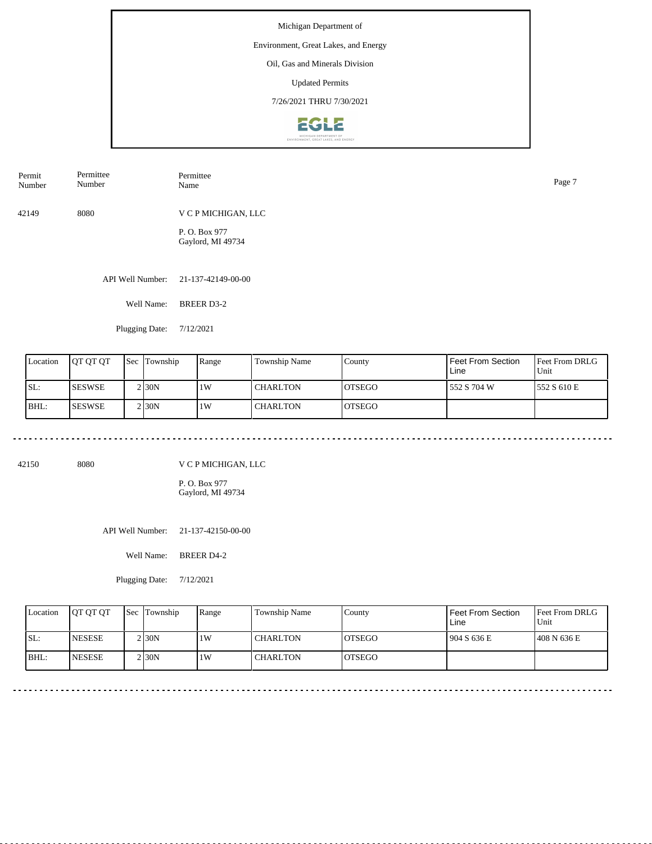#### Environment, Great Lakes, and Energy

Oil, Gas and Minerals Division

Updated Permits

7/26/2021 THRU 7/30/2021



| Permit<br>Number | Permittee<br>Number | Permittee<br>Name                  | Page 7 |
|------------------|---------------------|------------------------------------|--------|
| 42149            | 8080                | V C P MICHIGAN, LLC                |        |
|                  |                     | P. O. Box 977<br>Gaylord, MI 49734 |        |

API Well Number: 21-137-42149-00-00

Well Name: BREER D3-2

Plugging Date: 7/12/2021

| Location | <b>IOT OT OT</b> | l Sec | Township          | Range | <b>Township Name</b> | County         | Feet From Section<br>Line | <b>Feet From DRLG</b><br>Unit |
|----------|------------------|-------|-------------------|-------|----------------------|----------------|---------------------------|-------------------------------|
| SL:      | ISESWSE          |       | 2130N             | 1W    | l CHARLTON           | <b>IOTSEGO</b> | 552 S 704 W               | 1552 S 610 E                  |
| IBHL:    | ISESWSE          |       | 2130 <sub>N</sub> | 1W    | l CHARLTON           | <b>IOTSEGO</b> |                           |                               |

42150 8080

V C P MICHIGAN, LLC

P. O. Box 977 Gaylord, MI 49734

API Well Number: 21-137-42150-00-00

Well Name: BREER D4-2

Plugging Date: 7/12/2021

|      | Location | <b>OT OT OT</b> | Sec Township | Range | <b>Township Name</b> | County         | Feet From Section<br>Line | <b>Feet From DRLG</b><br>Unit |
|------|----------|-----------------|--------------|-------|----------------------|----------------|---------------------------|-------------------------------|
| SL:  |          | <b>INESESE</b>  | 2 30N        | 1W    | <b>CHARLTON</b>      | <b>IOTSEGO</b> | 1904 S 636 E              | 1408 N 636 E                  |
| BHL: |          | <b>INESESE</b>  | 2 30N        | 1W    | <b>CHARLTON</b>      | <b>IOTSEGO</b> |                           |                               |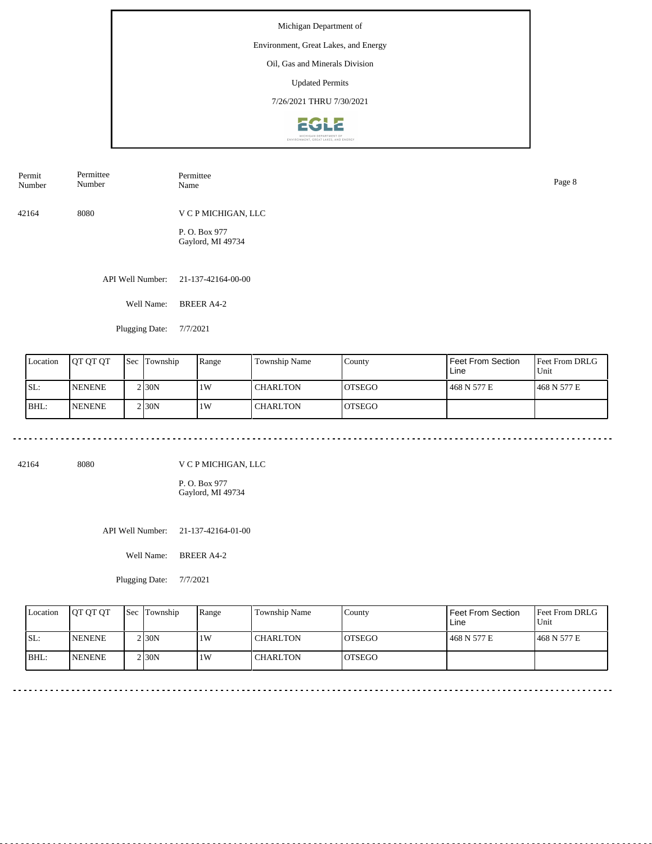#### Environment, Great Lakes, and Energy

Oil, Gas and Minerals Division

Updated Permits

7/26/2021 THRU 7/30/2021



| Permit<br>Number | Permittee<br>Number | Permittee<br>Name                 | Page 8 |
|------------------|---------------------|-----------------------------------|--------|
| 42164            | 8080                | V C P MICHIGAN, LLC               |        |
|                  |                     | P.O. Box 977<br>Gaylord, MI 49734 |        |
|                  | API Well Number:    | 21-137-42164-00-00                |        |

Well Name: BREER A4-2

Plugging Date: 7/7/2021

| Location | <b>JOT OT OT</b> | <b>Sec</b> | Township           | Range | <b>Township Name</b> | County         | Feet From Section<br>Line | <b>Feet From DRLG</b><br>Unit |
|----------|------------------|------------|--------------------|-------|----------------------|----------------|---------------------------|-------------------------------|
| SL:      | <b>INENENE</b>   |            | 2130N              | 1W    | <b>CHARLTON</b>      | <b>IOTSEGO</b> | 468 N 577 E               | 1468 N 577 E                  |
| BHL:     | <b>INENENE</b>   |            | 2 <sub>130</sub> N | 1W    | <b>CHARLTON</b>      | <b>IOTSEGO</b> |                           |                               |

42164 8080

V C P MICHIGAN, LLC

P. O. Box 977 Gaylord, MI 49734

API Well Number: 21-137-42164-01-00

Well Name: BREER A4-2

Plugging Date: 7/7/2021

| Location | <b>OT OT OT</b> | <b>Sec Township</b> | Range | Township Name   | County         | Feet From Section<br>Line | <b>Feet From DRLG</b><br>Unit |
|----------|-----------------|---------------------|-------|-----------------|----------------|---------------------------|-------------------------------|
| ISL:     | <b>INENENE</b>  | 2 I 30 N            | 1 W   | <b>CHARLTON</b> | <b>IOTSEGO</b> | 468 N 577 E               | 1468 N 577 E                  |
| BHL:     | <b>INENENE</b>  | 2 I 30 N            | 1W    | <b>CHARLTON</b> | IOTSEGO        |                           |                               |

<u>. . . . . . . . . . .</u>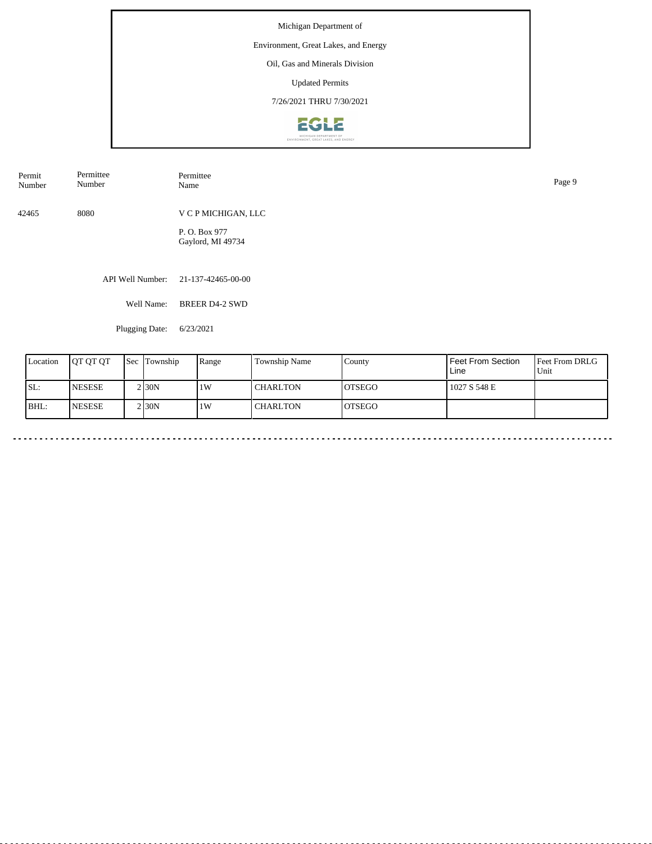# Environment, Great Lakes, and Energy

Oil, Gas and Minerals Division

Updated Permits

7/26/2021 THRU 7/30/2021



| Permit<br>Number | Permittee<br>Number | Permittee<br>Name                  | Page 9 |
|------------------|---------------------|------------------------------------|--------|
| 42465            | 8080                | V C P MICHIGAN, LLC                |        |
|                  |                     | P. O. Box 977<br>Gaylord, MI 49734 |        |

API Well Number: 21-137-42465-00-00

Well Name: BREER D4-2 SWD

Plugging Date: 6/23/2021

| Location | <b>IOT OT OT</b> | <b>Sec Township</b> | Range | Township Name   | County         | l Feet From Section<br>Line | <b>Feet From DRLG</b><br>Unit |
|----------|------------------|---------------------|-------|-----------------|----------------|-----------------------------|-------------------------------|
| ISL:     | <b>NESESE</b>    | 2 <sub>130</sub> N  | 1W    | <b>CHARLTON</b> | <b>IOTSEGO</b> | 1027 S 548 E                |                               |
| BHL:     | <b>INESESE</b>   | 2 <sub>130</sub> N  | 1W    | <b>CHARLTON</b> | IOTSEGO        |                             |                               |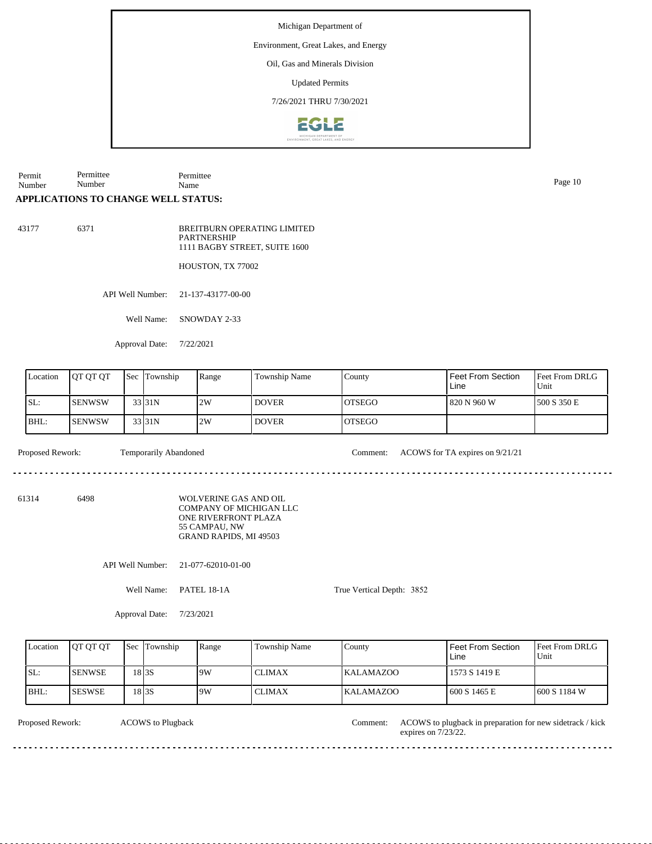Environment, Great Lakes, and Energy

Oil, Gas and Minerals Division

Updated Permits

7/26/2021 THRU 7/30/2021



Permit Number Permittee Number Permittee Name Page 10

## **APPLICATIONS TO CHANGE WELL STATUS:**

43177 6371

BREITBURN OPERATING LIMITED PARTNERSHIP 1111 BAGBY STREET, SUITE 1600

HOUSTON, TX 77002

API Well Number: 21-137-43177-00-00

Well Name: SNOWDAY 2-33

Approval Date: 7/22/2021

| Location | <b>IOT OT OT</b> | 'Sec | Township            | Range | <b>Township Name</b> | County         | l Feet From Section<br>Line | Feet From DRLG<br>Unit |
|----------|------------------|------|---------------------|-------|----------------------|----------------|-----------------------------|------------------------|
| ISL:     | <b>I</b> SENWSW  |      | 33 31N              | 2W    | <b>DOVER</b>         | <b>IOTSEGO</b> | 820 N 960 W                 | 1500 S 350 E           |
| IBHL:    | <b>ISENWSW</b>   |      | 33 <sub>131</sub> N | 2W    | <b>DOVER</b>         | <b>IOTSEGO</b> |                             |                        |

Proposed Rework: Temporarily Abandoned Comment: ACOWS for TA expires on 9/21/21

61314 6498

WOLVERINE GAS AND OIL COMPANY OF MICHIGAN LLC ONE RIVERFRONT PLAZA 55 CAMPAU, NW GRAND RAPIDS, MI 49503

API Well Number: 21-077-62010-01-00

Well Name: PATEL 18-1A

True Vertical Depth: 3852

Approval Date: 7/23/2021

| Location | <b>IOT OT OT</b> | Sec               | Township | Range | <b>Township Name</b> | County           | l Feet From Section .<br>Line | <b>Feet From DRLG</b><br>Unit |
|----------|------------------|-------------------|----------|-------|----------------------|------------------|-------------------------------|-------------------------------|
| SL:      | <b>SENWSE</b>    | 18 <sub>3</sub> S |          | 9W    | <b>CLIMAX</b>        | <b>KALAMAZOO</b> | 1573 S 1419 E                 |                               |
| BHL:     | <b>ISESWSE</b>   | 18 <sub>3</sub> S |          | 9W    | <b>CLIMAX</b>        | <b>KALAMAZOO</b> | 600 S 1465 E                  | $1600 S$ 1184 W               |

ACOWS to Plugback

Proposed Rework: ACOWS to Plugback in the account of the MCOWS to plugback in preparation for new sidetrack / kick Comment:

expires on  $7/23/22$ .

<u>eeseseseses</u>

<u>. . . . . . . . . . . . .</u>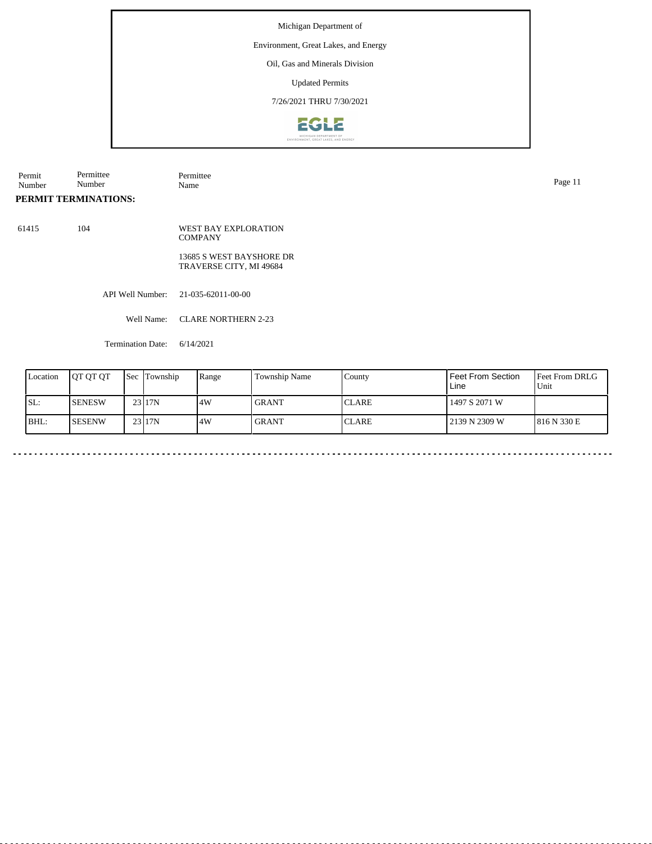#### Environment, Great Lakes, and Energy

Oil, Gas and Minerals Division

Updated Permits

7/26/2021 THRU 7/30/2021



| Permit | Permittee            | Permittee | Page 11 |
|--------|----------------------|-----------|---------|
| Number | Number               | Name      |         |
|        | PERMIT TERMINATIONS: |           |         |

61415 104 WEST BAY EXPLORATION **COMPANY** 13685 S WEST BAYSHORE DR

TRAVERSE CITY, MI 49684

API Well Number: 21-035-62011-00-00

Well Name: CLARE NORTHERN 2-23

Termination Date: 6/14/2021

| Location | <b>IOT OT OT</b> | <b>Sec Township</b> | Range | <b>Township Name</b> | County        | l Feet From Section<br>Line | <b>Feet From DRLG</b><br>Unit |
|----------|------------------|---------------------|-------|----------------------|---------------|-----------------------------|-------------------------------|
| SL:      | <b>I</b> SENESW  | 23117N              | 14W   | <b>GRANT</b>         | <b>ICLARE</b> | 1497 S 2071 W               |                               |
| BHL:     | ISESENW          | 23117N              | 4W    | <b>GRANT</b>         | <b>ICLARE</b> | 2139 N 2309 W               | 1816 N 330 E                  |

 $\sim 100$   $\sim$  $\sim$   $\sim$  . . . . . . . . . . . .